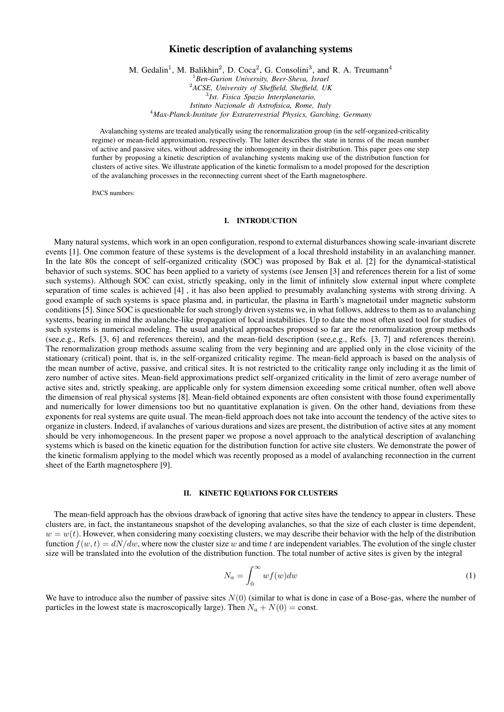# Kinetic description of avalanching systems

M. Gedalin<sup>1</sup>, M. Balikhin<sup>2</sup>, D. Coca<sup>2</sup>, G. Consolini<sup>3</sup>, and R. A. Treumann<sup>4</sup> *Ben-Gurion University, Beer-Sheva, Israel ACSE, University of Sheffield, Sheffield, UK Ist. Fisica Spazio Interplanetario, Istituto Nazionale di Astrofisica, Rome, Italy Max-Planck-Institute for Extraterrestrial Physics, Garching, Germany*

Avalanching systems are treated analytically using the renormalization group (in the self-organized-criticality regime) or mean-field approximation, respectively. The latter describes the state in terms of the mean number of active and passive sites, without addressing the inhomogeneity in their distribution. This paper goes one step further by proposing a kinetic description of avalanching systems making use of the distribution function for clusters of active sites. We illustrate application of the kinetic formalism to a model proposed for the description of the avalanching processes in the reconnecting current sheet of the Earth magnetosphere.

PACS numbers:

### I. INTRODUCTION

Many natural systems, which work in an open configuration, respond to external disturbances showing scale-invariant discrete events [1]. One common feature of these systems is the development of a local threshold instability in an avalanching manner. In the late 80s the concept of self-organized criticality (SOC) was proposed by Bak et al. [2] for the dynamical-statistical behavior of such systems. SOC has been applied to a variety of systems (see Jensen [3] and references therein for a list of some such systems). Although SOC can exist, strictly speaking, only in the limit of infinitely slow external input where complete separation of time scales is achieved [4] , it has also been applied to presumably avalanching systems with strong driving. A good example of such systems is space plasma and, in particular, the plasma in Earth's magnetotail under magnetic substorm conditions [5]. Since SOC is questionable for such strongly driven systems we, in what follows, address to them as to avalanching systems, bearing in mind the avalanche-like propagation of local instabilities. Up to date the most often used tool for studies of such systems is numerical modeling. The usual analytical approaches proposed so far are the renormalization group methods (see,e.g., Refs. [3, 6] and references therein), and the mean-field description (see,e.g., Refs. [3, 7] and references therein). The renormalization group methods assume scaling from the very beginning and are applied only in the close vicinity of the stationary (critical) point, that is, in the self-organized criticality regime. The mean-field approach is based on the analysis of the mean number of active, passive, and critical sites. It is not restricted to the criticality range only including it as the limit of zero number of active sites. Mean-field approximations predict self-organized criticality in the limit of zero average number of active sites and, strictly speaking, are applicable only for system dimension exceeding some critical number, often well above the dimension of real physical systems [8]. Mean-field obtained exponents are often consistent with those found experimentally and numerically for lower dimensions too but no quantitative explanation is given. On the other hand, deviations from these exponents for real systems are quite usual. The mean-field approach does not take into account the tendency of the active sites to organize in clusters. Indeed, if avalanches of various durations and sizes are present, the distribution of active sites at any moment should be very inhomogeneous. In the present paper we propose a novel approach to the analytical description of avalanching systems which is based on the kinetic equation for the distribution function for active site clusters. We demonstrate the power of the kinetic formalism applying to the model which was recently proposed as a model of avalanching reconnection in the current sheet of the Earth magnetosphere [9].

### II. KINETIC EQUATIONS FOR CLUSTERS

The mean-field approach has the obvious drawback of ignoring that active sites have the tendency to appear in clusters. These clusters are, in fact, the instantaneous snapshot of the developing avalanches, so that the size of each cluster is time dependent,  $w = w(t)$ . However, when considering many coexisting clusters, we may describe their behavior with the help of the distribution function  $f(w, t) = dN/dw$ , where now the cluster size w and time t are independent variables. The evolution of the single cluster size will be translated into the evolution of the distribution function. The total number of active sites is given by the integral

$$
N_a = \int_0^\infty w f(w) dw \tag{1}
$$

We have to introduce also the number of passive sites  $N(0)$  (similar to what is done in case of a Bose-gas, where the number of particles in the lowest state is macroscopically large). Then  $N_a + N(0) = \text{const.}$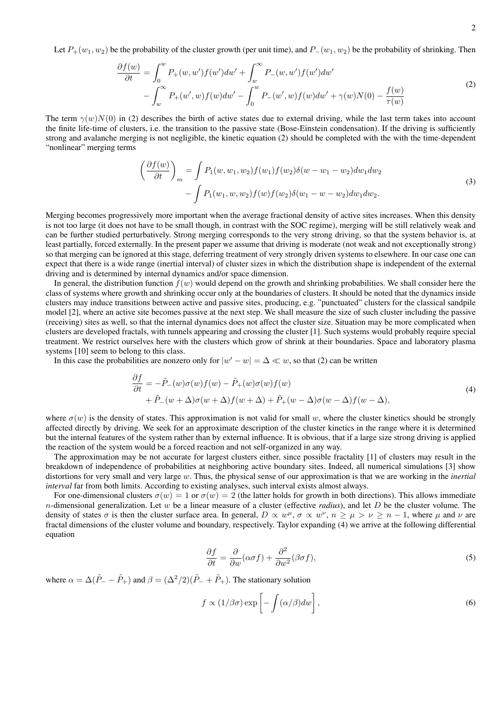Let  $P_+(w_1, w_2)$  be the probability of the cluster growth (per unit time), and  $P_-(w_1, w_2)$  be the probability of shrinking. Then

$$
\frac{\partial f(w)}{\partial t} = \int_0^w P_+(w, w') f(w') dw' + \int_w^\infty P_-(w, w') f(w') dw' \n- \int_w^\infty P_+(w', w) f(w) dw' - \int_0^w P_-(w', w) f(w) dw' + \gamma(w) N(0) - \frac{f(w)}{\tau(w)}
$$
\n(2)

The term  $\gamma(w)N(0)$  in (2) describes the birth of active states due to external driving, while the last term takes into account the finite life-time of clusters, i.e. the transition to the passive state (Bose-Einstein condensation). If the driving is sufficiently strong and avalanche merging is not negligible, the kinetic equation (2) should be completed with the with the time-dependent "nonlinear" merging terms

$$
\left(\frac{\partial f(w)}{\partial t}\right)_m = \int P_1(w, w_1, w_2) f(w_1) f(w_2) \delta(w - w_1 - w_2) dw_1 dw_2
$$
  
- 
$$
\int P_1(w_1, w, w_2) f(w) f(w_2) \delta(w_1 - w - w_2) dw_1 dw_2.
$$
 (3)

Merging becomes progressively more important when the average fractional density of active sites increases. When this density is not too large (it does not have to be small though, in contrast with the SOC regime), merging will be still relatively weak and can be further studied perturbatively. Strong merging corresponds to the very strong driving, so that the system behavior is, at least partially, forced externally. In the present paper we assume that driving is moderate (not weak and not exceptionally strong) so that merging can be ignored at this stage, deferring treatment of very strongly driven systems to elsewhere. In our case one can expect that there is a wide range (inertial interval) of cluster sizes in which the distribution shape is independent of the external driving and is determined by internal dynamics and/or space dimension.

In general, the distribution function  $f(w)$  would depend on the growth and shrinking probabilities. We shall consider here the class of systems where growth and shrinking occur only at the boundaries of clusters. It should be noted that the dynamics inside clusters may induce transitions between active and passive sites, producing, e.g. "punctuated" clusters for the classical sandpile model [2], where an active site becomes passive at the next step. We shall measure the size of such cluster including the passive (receiving) sites as well, so that the internal dynamics does not affect the cluster size. Situation may be more complicated when clusters are developed fractals, with tunnels appearing and crossing the cluster [1]. Such systems would probably require special treatment. We restrict ourselves here with the clusters which grow of shrink at their boundaries. Space and laboratory plasma systems [10] seem to belong to this class.

In this case the probabilities are nonzero only for  $|w'-w| = \Delta \ll w$ , so that (2) can be written

$$
\frac{\partial f}{\partial t} = -\tilde{P}_{-}(w)\sigma(w)f(w) - \tilde{P}_{+}(w)\sigma(w)f(w) \n+ \tilde{P}_{-}(w+\Delta)\sigma(w+\Delta)f(w+\Delta) + \tilde{P}_{+}(w-\Delta)\sigma(w-\Delta)f(w-\Delta),
$$
\n(4)

where  $\sigma(w)$  is the density of states. This approximation is not valid for small w, where the cluster kinetics should be strongly affected directly by driving. We seek for an approximate description of the cluster kinetics in the range where it is determined but the internal features of the system rather than by external influence. It is obvious, that if a large size strong driving is applied the reaction of the system would be a forced reaction and not self-organized in any way.

The approximation may be not accurate for largest clusters either, since possible fractality [1] of clusters may result in the breakdown of independence of probabilities at neighboring active boundary sites. Indeed, all numerical simulations [3] show distortions for very small and very large w. Thus, the physical sense of our approximation is that we are working in the *inertial interval* far from both limits. According to existing analyses, such interval exists almost always.

For one-dimensional clusters  $\sigma(w) = 1$  or  $\sigma(w) = 2$  (the latter holds for growth in both directions). This allows immediate n-dimensional generalization. Let w be a linear measure of a cluster (effective *radius*), and let D be the cluster volume. The density of states  $\sigma$  is then the cluster surface area. In general,  $D \propto w^{\mu}$ ,  $\sigma \propto w^{\nu}$ ,  $n \ge \mu > \nu \ge n - 1$ , where  $\mu$  and  $\nu$  are fractal dimensions of the cluster volume and boundary, respectively. Taylor expanding (4) we arrive at the following differential equation

$$
\frac{\partial f}{\partial t} = \frac{\partial}{\partial w} (\alpha \sigma f) + \frac{\partial^2}{\partial w^2} (\beta \sigma f),\tag{5}
$$

where  $\alpha = \Delta(\tilde{P}_{-} - \tilde{P}_{+})$  and  $\beta = (\Delta^2/2)(\tilde{P}_{-} + \tilde{P}_{+})$ . The stationary solution

$$
f \propto (1/\beta \sigma) \exp\left[-\int (\alpha/\beta) dw\right],\tag{6}
$$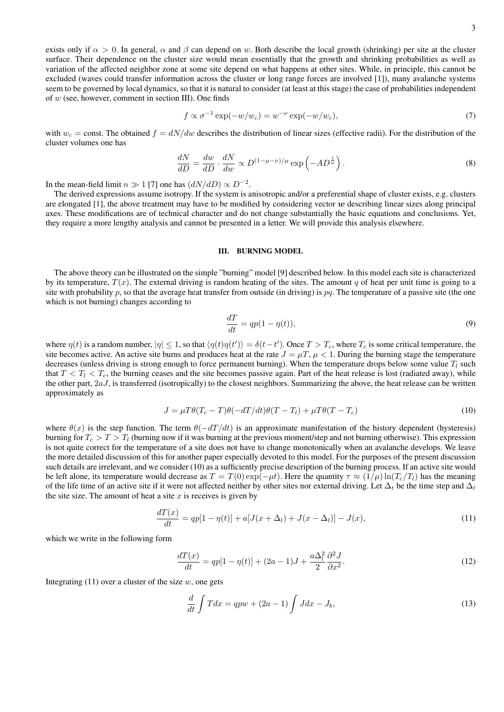exists only if  $\alpha > 0$ . In general,  $\alpha$  and  $\beta$  can depend on w. Both describe the local growth (shrinking) per site at the cluster surface. Their dependence on the cluster size would mean essentially that the growth and shrinking probabilities as well as variation of the affected neighbor zone at some site depend on what happens at other sites. While, in principle, this cannot be excluded (waves could transfer information across the cluster or long range forces are involved [1]), many avalanche systems seem to be governed by local dynamics, so that it is natural to consider (at least at this stage) the case of probabilities independent of w (see, however, comment in section III). One finds

$$
f \propto \sigma^{-1} \exp(-w/w_c) = w^{-\nu} \exp(-w/w_c),\tag{7}
$$

with  $w_c$  = const. The obtained  $f = dN/dw$  describes the distribution of linear sizes (effective radii). For the distribution of the cluster volumes one has

$$
\frac{dN}{dD} = \frac{dw}{dD} \cdot \frac{dN}{dw} \propto D^{(1-\mu-\nu)/\mu} \exp\left(-AD^{\frac{1}{\mu}}\right).
$$
\n(8)

In the mean-field limit  $n \gg 1$  [7] one has  $(dN/dD) \propto D^{-2}$ .

The derived expressions assume isotropy. If the system is anisotropic and/or a preferential shape of cluster exists, e.g. clusters are elongated [1], the above treatment may have to be modified by considering vector  $w$  describing linear sizes along principal axes. These modifications are of technical character and do not change substantially the basic equations and conclusions. Yet, they require a more lengthy analysis and cannot be presented in a letter. We will provide this analysis elsewhere.

### III. BURNING MODEL

The above theory can be illustrated on the simple "burning" model [9] described below. In this model each site is characterized by its temperature,  $T(x)$ . The external driving is random heating of the sites. The amount q of heat per unit time is going to a site with probability p, so that the average heat transfer from outside (in driving) is  $pq$ . The temperature of a passive site (the one which is not burning) changes according to

$$
\frac{dT}{dt} = qp(1 - \eta(t)),\tag{9}
$$

where  $\eta(t)$  is a random number,  $|\eta| \leq 1$ , so that  $\langle \eta(t)\eta(t')\rangle = \delta(t-t')$ . Once  $T > T_c$ , where  $T_c$  is some critical temperature, the site becomes active. An active site burns and produces heat at the rate  $J = \mu T$ ,  $\mu < 1$ . During the burning stage the temperature decreases (unless driving is strong enough to force permanent burning). When the temperature drops below some value  $T_l$  such that  $T < T<sub>c</sub>$ , the burning ceases and the site becomes passive again. Part of the heat release is lost (radiated away), while the other part,  $2aJ$ , is transferred (isotropically) to the closest neighbors. Summarizing the above, the heat release can be written approximately as

$$
J = \mu T \theta (T_c - T) \theta (-dT/dt) \theta (T - T_l) + \mu T \theta (T - T_c)
$$
\n(10)

where  $\theta(x)$  is the step function. The term  $\theta(-dT/dt)$  is an approximate manifestation of the history dependent (hysteresis) burning for  $T_c > T > T_l$  (burning now if it was burning at the previous moment/step and not burning otherwise). This expression is not quite correct for the temperature of a site does not have to change monotonically when an avalanche develops. We leave the more detailed discussion of this for another paper especially devoted to this model. For the purposes of the present discussion such details are irrelevant, and we consider (10) as a sufficiently precise description of the burning process. If an active site would be left alone, its temperature would decrease as  $T = T(0) \exp(-\mu t)$ . Here the quantity  $\tau \approx (1/\mu) \ln(T_c/T_l)$  has the meaning of the life time of an active site if it were not affected neither by other sites nor external driving. Let  $\Delta_t$  be the time step and  $\Delta_l$ the site size. The amount of heat a site  $x$  is receives is given by

$$
\frac{dT(x)}{dt} = qp[1 - \eta(t)] + a[J(x + \Delta_l) + J(x - \Delta_l)] - J(x),\tag{11}
$$

which we write in the following form

$$
\frac{dT(x)}{dt} = qp[1 - \eta(t)] + (2a - 1)J + \frac{a\Delta_l^2}{2}\frac{\partial^2 J}{\partial x^2}.
$$
\n(12)

Integrating  $(11)$  over a cluster of the size w, one gets

$$
\frac{d}{dt}\int Tdx = qpw + (2a - 1)\int Jdx - J_b,
$$
\n(13)